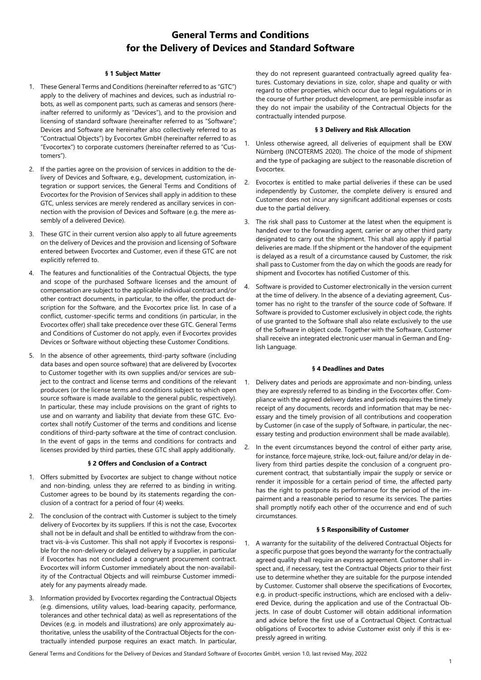# **General Terms and Conditions for the Delivery of Devices and Standard Software**

# **§ 1 Subject Matter**

- 1. These General Terms and Conditions (hereinafter referred to as "GTC") apply to the delivery of machines and devices, such as industrial robots, as well as component parts, such as cameras and sensors (hereinafter referred to uniformly as "Devices"), and to the provision and licensing of standard software (hereinafter referred to as "Software"; Devices and Software are hereinafter also collectively referred to as "Contractual Objects") by Evocortex GmbH (hereinafter referred to as "Evocortex") to corporate customers (hereinafter referred to as "Customers").
- 2. If the parties agree on the provision of services in addition to the delivery of Devices and Software, e.g., development, customization, integration or support services, the General Terms and Conditions of Evocortex for the Provision of Services shall apply in addition to these GTC, unless services are merely rendered as ancillary services in connection with the provision of Devices and Software (e.g. the mere assembly of a delivered Device).
- 3. These GTC in their current version also apply to all future agreements on the delivery of Devices and the provision and licensing of Software entered between Evocortex and Customer, even if these GTC are not explicitly referred to.
- 4. The features and functionalities of the Contractual Objects, the type and scope of the purchased Software licenses and the amount of compensation are subject to the applicable individual contract and/or other contract documents, in particular, to the offer, the product description for the Software, and the Evocortex price list. In case of a conflict, customer-specific terms and conditions (in particular, in the Evocortex offer) shall take precedence over these GTC. General Terms and Conditions of Customer do not apply, even if Evocortex provides Devices or Software without objecting these Customer Conditions.
- 5. In the absence of other agreements, third-party software (including data bases and open source software) that are delivered by Evocortex to Customer together with its own supplies and/or services are subject to the contract and license terms and conditions of the relevant producers (or the license terms and conditions subject to which open source software is made available to the general public, respectively). In particular, these may include provisions on the grant of rights to use and on warranty and liability that deviate from these GTC. Evocortex shall notify Customer of the terms and conditions and license conditions of third-party software at the time of contract conclusion. In the event of gaps in the terms and conditions for contracts and licenses provided by third parties, these GTC shall apply additionally.

# **§ 2 Offers and Conclusion of a Contract**

- 1. Offers submitted by Evocortex are subject to change without notice and non-binding, unless they are referred to as binding in writing. Customer agrees to be bound by its statements regarding the conclusion of a contract for a period of four (4) weeks.
- 2. The conclusion of the contract with Customer is subject to the timely delivery of Evocortex by its suppliers. If this is not the case, Evocortex shall not be in default and shall be entitled to withdraw from the contract vis-à-vis Customer. This shall not apply if Evocortex is responsible for the non-delivery or delayed delivery by a supplier, in particular if Evocortex has not concluded a congruent procurement contract. Evocortex will inform Customer immediately about the non-availability of the Contractual Objects and will reimburse Customer immediately for any payments already made.
- 3. Information provided by Evocortex regarding the Contractual Objects (e.g. dimensions, utility values, load-bearing capacity, performance, tolerances and other technical data) as well as representations of the Devices (e.g. in models and illustrations) are only approximately authoritative, unless the usability of the Contractual Objects for the contractually intended purpose requires an exact match. In particular,

they do not represent guaranteed contractually agreed quality features. Customary deviations in size, color, shape and quality or with regard to other properties, which occur due to legal regulations or in the course of further product development, are permissible insofar as they do not impair the usability of the Contractual Objects for the contractually intended purpose.

# **§ 3 Delivery and Risk Allocation**

- 1. Unless otherwise agreed, all deliveries of equipment shall be EXW Nürnberg (INCOTERMS 2020). The choice of the mode of shipment and the type of packaging are subject to the reasonable discretion of Evocortex.
- 2. Evocortex is entitled to make partial deliveries if these can be used independently by Customer, the complete delivery is ensured and Customer does not incur any significant additional expenses or costs due to the partial delivery.
- 3. The risk shall pass to Customer at the latest when the equipment is handed over to the forwarding agent, carrier or any other third party designated to carry out the shipment. This shall also apply if partial deliveries are made. If the shipment or the handover of the equipment is delayed as a result of a circumstance caused by Customer, the risk shall pass to Customer from the day on which the goods are ready for shipment and Evocortex has notified Customer of this.
- 4. Software is provided to Customer electronically in the version current at the time of delivery. In the absence of a deviating agreement, Customer has no right to the transfer of the source code of Software. If Software is provided to Customer exclusively in object code, the rights of use granted to the Software shall also relate exclusively to the use of the Software in object code. Together with the Software, Customer shall receive an integrated electronic user manual in German and English Language.

#### **§ 4 Deadlines and Dates**

- 1. Delivery dates and periods are approximate and non-binding, unless they are expressly referred to as binding in the Evocortex offer. Compliance with the agreed delivery dates and periods requires the timely receipt of any documents, records and information that may be necessary and the timely provision of all contributions and cooperation by Customer (in case of the supply of Software, in particular, the necessary testing and production environment shall be made available).
- 2. In the event circumstances beyond the control of either party arise, for instance, force majeure, strike, lock-out, failure and/or delay in delivery from third parties despite the conclusion of a congruent procurement contract, that substantially impair the supply or service or render it impossible for a certain period of time, the affected party has the right to postpone its performance for the period of the impairment and a reasonable period to resume its services. The parties shall promptly notify each other of the occurrence and end of such circumstances.

# **§ 5 Responsibility of Customer**

1. A warranty for the suitability of the delivered Contractual Objects for a specific purpose that goes beyond the warranty for the contractually agreed quality shall require an express agreement. Customer shall inspect and, if necessary, test the Contractual Objects prior to their first use to determine whether they are suitable for the purpose intended by Customer. Customer shall observe the specifications of Evocortex, e.g. in product-specific instructions, which are enclosed with a delivered Device, during the application and use of the Contractual Objects. In case of doubt Customer will obtain additional information and advice before the first use of a Contractual Object. Contractual obligations of Evocortex to advise Customer exist only if this is expressly agreed in writing.

General Terms and Conditions for the Delivery of Devices and Standard Software of Evocortex GmbH, version 1.0, last revised May, 2022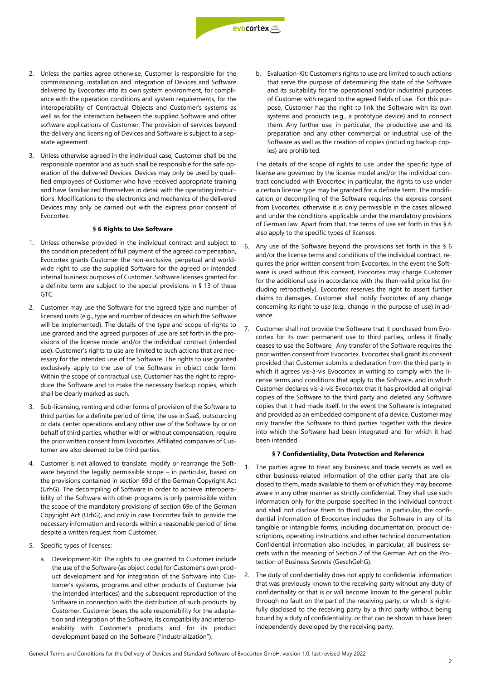

- 2. Unless the parties agree otherwise, Customer is responsible for the commissioning, installation and integration of Devices and Software delivered by Evocortex into its own system environment, for compliance with the operation conditions and system requirements, for the interoperability of Contractual Objects and Customer's systems as well as for the interaction between the supplied Software and other software applications of Customer. The provision of services beyond the delivery and licensing of Devices and Software is subject to a separate agreement.
- 3. Unless otherwise agreed in the individual case, Customer shall be the responsible operator and as such shall be responsible for the safe operation of the delivered Devices. Devices may only be used by qualified employees of Customer who have received appropriate training and have familiarized themselves in detail with the operating instructions. Modifications to the electronics and mechanics of the delivered Devices may only be carried out with the express prior consent of Evocortex.

# **§ 6 Rights to Use Software**

- 1. Unless otherwise provided in the individual contract and subject to the condition precedent of full payment of the agreed compensation, Evocortex grants Customer the non-exclusive, perpetual and worldwide right to use the supplied Software for the agreed or intended internal business purposes of Customer. Software licenses granted for a definite term are subject to the special provisions in § 13 of these GTC.
- 2. Customer may use the Software for the agreed type and number of licensed units (e.g., type and number of devices on which the Software will be implemented). The details of the type and scope of rights to use granted and the agreed purposes of use are set forth in the provisions of the license model and/or the individual contract (intended use). Customer's rights to use are limited to such actions that are necessary for the intended use of the Software. The rights to use granted exclusively apply to the use of the Software in object code form. Within the scope of contractual use, Customer has the right to reproduce the Software and to make the necessary backup copies, which shall be clearly marked as such.
- 3. Sub-licensing, renting and other forms of provision of the Software to third parties for a definite period of time, the use in SaaS, outsourcing or data center operations and any other use of the Software by or on behalf of third parties, whether with or without compensation, require the prior written consent from Evocortex. Affiliated companies of Customer are also deemed to be third parties.
- 4. Customer is not allowed to translate, modify or rearrange the Software beyond the legally permissible scope – in particular, based on the provisions contained in section 69d of the German Copyright Act (UrhG). The decompiling of Software in order to achieve interoperability of the Software with other programs is only permissible within the scope of the mandatory provisions of section 69e of the German Copyright Act (UrhG), and only in case Evocortex fails to provide the necessary information and records within a reasonable period of time despite a written request from Customer.
- 5. Specific types of licenses:
	- a. Development-Kit: The rights to use granted to Customer include the use of the Software (as object code) for Customer's own product development and for integration of the Software into Customer's systems, programs and other products of Customer (via the intended interfaces) and the subsequent reproduction of the Software in connection with the distribution of such products by Customer. Customer bears the sole responsibility for the adaptation and integration of the Software, its compatibility and interoperability with Customer's products and for its product development based on the Software ("industrialization").

b. Evaluation-Kit: Customer's rights to use are limited to such actions that serve the purpose of determining the state of the Software and its suitability for the operational and/or industrial purposes of Customer with regard to the agreed fields of use. For this purpose, Customer has the right to link the Software with its own systems and products (e.g., a prototype device) and to connect them. Any further use, in particular, the productive use and its preparation and any other commercial or industrial use of the Software as well as the creation of copies (including backup copies) are prohibited.

The details of the scope of rights to use under the specific type of license are governed by the license model and/or the individual contract concluded with Evocortex; in particular, the rights to use under a certain license type may be granted for a definite term. The modification or decompiling of the Software requires the express consent from Evocortex, otherwise it is only permissible in the cases allowed and under the conditions applicable under the mandatory provisions of German law. Apart from that, the terms of use set forth in this § 6 also apply to the specific types of licenses.

- 6. Any use of the Software beyond the provisions set forth in this § 6 and/or the license terms and conditions of the individual contract, requires the prior written consent from Evocortex. In the event the Software is used without this consent, Evocortex may charge Customer for the additional use in accordance with the then-valid price list (including retroactively). Evocortex reserves the right to assert further claims to damages. Customer shall notify Evocortex of any change concerning its right to use (e.g., change in the purpose of use) in advance.
- 7. Customer shall not provide the Software that it purchased from Evocortex for its own permanent use to third parties, unless it finally ceases to use the Software. Any transfer of the Software requires the prior written consent from Evocortex. Evocortex shall grant its consent provided that Customer submits a declaration from the third party in which it agrees vis-à-vis Evocortex in writing to comply with the license terms and conditions that apply to the Software, and in which Customer declares vis-à-vis Evocortex that it has provided all original copies of the Software to the third party and deleted any Software copies that it had made itself. In the event the Software is integrated and provided as an embedded component of a device, Customer may only transfer the Software to third parties together with the device into which the Software had been integrated and for which it had been intended.

# **§ 7 Confidentiality, Data Protection and Reference**

- 1. The parties agree to treat any business and trade secrets as well as other business-related information of the other party that are disclosed to them, made available to them or of which they may become aware in any other manner as strictly confidential. They shall use such information only for the purpose specified in the individual contract and shall not disclose them to third parties. In particular, the confidential information of Evocortex includes the Software in any of its tangible or intangible forms, including documentation, product descriptions, operating instructions and other technical documentation. Confidential information also includes, in particular, all business secrets within the meaning of Section 2 of the German Act on the Protection of Business Secrets (GeschGehG).
- 2. The duty of confidentiality does not apply to confidential information that was previously known to the receiving party without any duty of confidentiality or that is or will become known to the general public through no fault on the part of the receiving party, or which is rightfully disclosed to the receiving party by a third party without being bound by a duty of confidentiality, or that can be shown to have been independently developed by the receiving party.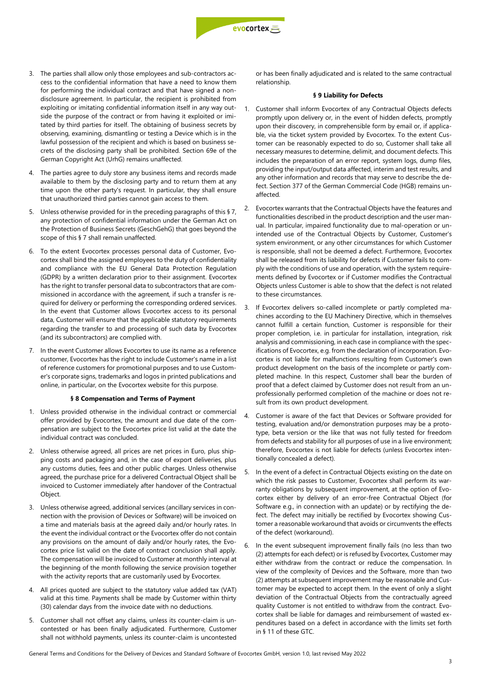

- 3. The parties shall allow only those employees and sub-contractors access to the confidential information that have a need to know them for performing the individual contract and that have signed a nondisclosure agreement. In particular, the recipient is prohibited from exploiting or imitating confidential information itself in any way outside the purpose of the contract or from having it exploited or imitated by third parties for itself. The obtaining of business secrets by observing, examining, dismantling or testing a Device which is in the lawful possession of the recipient and which is based on business secrets of the disclosing party shall be prohibited. Section 69e of the German Copyright Act (UrhG) remains unaffected.
- 4. The parties agree to duly store any business items and records made available to them by the disclosing party and to return them at any time upon the other party's request. In particular, they shall ensure that unauthorized third parties cannot gain access to them.
- 5. Unless otherwise provided for in the preceding paragraphs of this § 7, any protection of confidential information under the German Act on the Protection of Business Secrets (GeschGehG) that goes beyond the scope of this § 7 shall remain unaffected.
- 6. To the extent Evocortex processes personal data of Customer, Evocortex shall bind the assigned employees to the duty of confidentiality and compliance with the EU General Data Protection Regulation (GDPR) by a written declaration prior to their assignment. Evocortex has the right to transfer personal data to subcontractors that are commissioned in accordance with the agreement, if such a transfer is required for delivery or performing the corresponding ordered services. In the event that Customer allows Evocortex access to its personal data, Customer will ensure that the applicable statutory requirements regarding the transfer to and processing of such data by Evocortex (and its subcontractors) are complied with.
- 7. In the event Customer allows Evocortex to use its name as a reference customer, Evocortex has the right to include Customer's name in a list of reference customers for promotional purposes and to use Customer's corporate signs, trademarks and logos in printed publications and online, in particular, on the Evocortex website for this purpose.

#### **§ 8 Compensation and Terms of Payment**

- 1. Unless provided otherwise in the individual contract or commercial offer provided by Evocortex, the amount and due date of the compensation are subject to the Evocortex price list valid at the date the individual contract was concluded.
- 2. Unless otherwise agreed, all prices are net prices in Euro, plus shipping costs and packaging and, in the case of export deliveries, plus any customs duties, fees and other public charges. Unless otherwise agreed, the purchase price for a delivered Contractual Object shall be invoiced to Customer immediately after handover of the Contractual Object.
- 3. Unless otherwise agreed, additional services (ancillary services in connection with the provision of Devices or Software) will be invoiced on a time and materials basis at the agreed daily and/or hourly rates. In the event the individual contract or the Evocortex offer do not contain any provisions on the amount of daily and/or hourly rates, the Evocortex price list valid on the date of contract conclusion shall apply. The compensation will be invoiced to Customer at monthly interval at the beginning of the month following the service provision together with the activity reports that are customarily used by Evocortex.
- 4. All prices quoted are subject to the statutory value added tax (VAT) valid at this time. Payments shall be made by Customer within thirty (30) calendar days from the invoice date with no deductions.
- 5. Customer shall not offset any claims, unless its counter-claim is uncontested or has been finally adjudicated. Furthermore, Customer shall not withhold payments, unless its counter-claim is uncontested

or has been finally adjudicated and is related to the same contractual relationship.

## **§ 9 Liability for Defects**

- 1. Customer shall inform Evocortex of any Contractual Objects defects promptly upon delivery or, in the event of hidden defects, promptly upon their discovery, in comprehensible form by email or, if applicable, via the ticket system provided by Evocortex. To the extent Customer can be reasonably expected to do so, Customer shall take all necessary measures to determine, delimit, and document defects. This includes the preparation of an error report, system logs, dump files, providing the input/output data affected, interim and test results, and any other information and records that may serve to describe the defect. Section 377 of the German Commercial Code (HGB) remains unaffected.
- 2. Evocortex warrants that the Contractual Objects have the features and functionalities described in the product description and the user manual. In particular, impaired functionality due to mal-operation or unintended use of the Contractual Objects by Customer, Customer's system environment, or any other circumstances for which Customer is responsible, shall not be deemed a defect. Furthermore, Evocortex shall be released from its liability for defects if Customer fails to comply with the conditions of use and operation, with the system requirements defined by Evocortex or if Customer modifies the Contractual Objects unless Customer is able to show that the defect is not related to these circumstances.
- If Evocortex delivers so-called incomplete or partly completed machines according to the EU Machinery Directive, which in themselves cannot fulfill a certain function, Customer is responsible for their proper completion, i.e. in particular for installation, integration, risk analysis and commissioning, in each case in compliance with the specifications of Evocortex, e.g. from the declaration of incorporation. Evocortex is not liable for malfunctions resulting from Customer's own product development on the basis of the incomplete or partly completed machine. In this respect, Customer shall bear the burden of proof that a defect claimed by Customer does not result from an unprofessionally performed completion of the machine or does not result from its own product development.
- 4. Customer is aware of the fact that Devices or Software provided for testing, evaluation and/or demonstration purposes may be a prototype, beta version or the like that was not fully tested for freedom from defects and stability for all purposes of use in a live environment; therefore, Evocortex is not liable for defects (unless Evocortex intentionally concealed a defect).
- 5. In the event of a defect in Contractual Objects existing on the date on which the risk passes to Customer, Evocortex shall perform its warranty obligations by subsequent improvement, at the option of Evocortex either by delivery of an error-free Contractual Object (for Software e.g., in connection with an update) or by rectifying the defect. The defect may initially be rectified by Evocortex showing Customer a reasonable workaround that avoids or circumvents the effects of the defect (workaround).
- In the event subsequent improvement finally fails (no less than two (2) attempts for each defect) or is refused by Evocortex, Customer may either withdraw from the contract or reduce the compensation. In view of the complexity of Devices and the Software, more than two (2) attempts at subsequent improvement may be reasonable and Customer may be expected to accept them. In the event of only a slight deviation of the Contractual Objects from the contractually agreed quality Customer is not entitled to withdraw from the contract. Evocortex shall be liable for damages and reimbursement of wasted expenditures based on a defect in accordance with the limits set forth in § 11 of these GTC.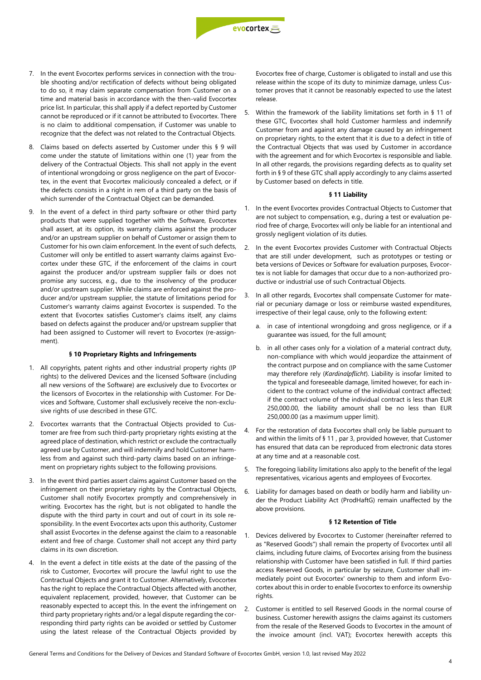

- 7. In the event Evocortex performs services in connection with the trouble shooting and/or rectification of defects without being obligated to do so, it may claim separate compensation from Customer on a time and material basis in accordance with the then-valid Evocortex price list. In particular, this shall apply if a defect reported by Customer cannot be reproduced or if it cannot be attributed to Evocortex. There is no claim to additional compensation, if Customer was unable to recognize that the defect was not related to the Contractual Objects.
- 8. Claims based on defects asserted by Customer under this § 9 will come under the statute of limitations within one (1) year from the delivery of the Contractual Objects. This shall not apply in the event of intentional wrongdoing or gross negligence on the part of Evocortex, in the event that Evocortex maliciously concealed a defect, or if the defects consists in a right in rem of a third party on the basis of which surrender of the Contractual Object can be demanded.
- 9. In the event of a defect in third party software or other third party products that were supplied together with the Software, Evocortex shall assert, at its option, its warranty claims against the producer and/or an upstream supplier on behalf of Customer or assign them to Customer for his own claim enforcement. In the event of such defects, Customer will only be entitled to assert warranty claims against Evocortex under these GTC, if the enforcement of the claims in court against the producer and/or upstream supplier fails or does not promise any success, e.g., due to the insolvency of the producer and/or upstream supplier. While claims are enforced against the producer and/or upstream supplier, the statute of limitations period for Customer's warranty claims against Evocortex is suspended. To the extent that Evocortex satisfies Customer's claims itself, any claims based on defects against the producer and/or upstream supplier that had been assigned to Customer will revert to Evocortex (re-assignment).

#### **§ 10 Proprietary Rights and Infringements**

- 1. All copyrights, patent rights and other industrial property rights (IP rights) to the delivered Devices and the licensed Software (including all new versions of the Software) are exclusively due to Evocortex or the licensors of Evocortex in the relationship with Customer. For Devices and Software, Customer shall exclusively receive the non-exclusive rights of use described in these GTC.
- 2. Evocortex warrants that the Contractual Objects provided to Customer are free from such third-party proprietary rights existing at the agreed place of destination, which restrict or exclude the contractually agreed use by Customer, and will indemnify and hold Customer harmless from and against such third-party claims based on an infringement on proprietary rights subject to the following provisions.
- 3. In the event third parties assert claims against Customer based on the infringement on their proprietary rights by the Contractual Objects, Customer shall notify Evocortex promptly and comprehensively in writing. Evocortex has the right, but is not obligated to handle the dispute with the third party in court and out of court in its sole responsibility. In the event Evocortex acts upon this authority, Customer shall assist Evocortex in the defense against the claim to a reasonable extent and free of charge. Customer shall not accept any third party claims in its own discretion.
- 4. In the event a defect in title exists at the date of the passing of the risk to Customer, Evocortex will procure the lawful right to use the Contractual Objects and grant it to Customer. Alternatively, Evocortex has the right to replace the Contractual Objects affected with another, equivalent replacement, provided, however, that Customer can be reasonably expected to accept this. In the event the infringement on third party proprietary rights and/or a legal dispute regarding the corresponding third party rights can be avoided or settled by Customer using the latest release of the Contractual Objects provided by

Evocortex free of charge, Customer is obligated to install and use this release within the scope of its duty to minimize damage, unless Customer proves that it cannot be reasonably expected to use the latest release.

5. Within the framework of the liability limitations set forth in § 11 of these GTC, Evocortex shall hold Customer harmless and indemnify Customer from and against any damage caused by an infringement on proprietary rights, to the extent that it is due to a defect in title of the Contractual Objects that was used by Customer in accordance with the agreement and for which Evocortex is responsible and liable. In all other regards, the provisions regarding defects as to quality set forth in § 9 of these GTC shall apply accordingly to any claims asserted by Customer based on defects in title.

# **§ 11 Liability**

- 1. In the event Evocortex provides Contractual Objects to Customer that are not subject to compensation, e.g., during a test or evaluation period free of charge, Evocortex will only be liable for an intentional and grossly negligent violation of its duties.
- 2. In the event Evocortex provides Customer with Contractual Objects that are still under development, such as prototypes or testing or beta versions of Devices or Software for evaluation purposes, Evocortex is not liable for damages that occur due to a non-authorized productive or industrial use of such Contractual Objects.
- 3. In all other regards, Evocortex shall compensate Customer for material or pecuniary damage or loss or reimburse wasted expenditures, irrespective of their legal cause, only to the following extent:
	- in case of intentional wrongdoing and gross negligence, or if a guarantee was issued, for the full amount;
	- b. in all other cases only for a violation of a material contract duty, non-compliance with which would jeopardize the attainment of the contract purpose and on compliance with the same Customer may therefore rely (*Kardinalpflicht*). Liability is insofar limited to the typical and foreseeable damage, limited however, for each incident to the contract volume of the individual contract affected; if the contract volume of the individual contract is less than EUR 250,000.00, the liability amount shall be no less than EUR 250,000.00 (as a maximum upper limit).
- 4. For the restoration of data Evocortex shall only be liable pursuant to and within the limits of § 11 , par 3, provided however, that Customer has ensured that data can be reproduced from electronic data stores at any time and at a reasonable cost.
- 5. The foregoing liability limitations also apply to the benefit of the legal representatives, vicarious agents and employees of Evocortex.
- 6. Liability for damages based on death or bodily harm and liability under the Product Liability Act (ProdHaftG) remain unaffected by the above provisions.

## **§ 12 Retention of Title**

- 1. Devices delivered by Evocortex to Customer (hereinafter referred to as "Reserved Goods") shall remain the property of Evocortex until all claims, including future claims, of Evocortex arising from the business relationship with Customer have been satisfied in full. If third parties access Reserved Goods, in particular by seizure, Customer shall immediately point out Evocortex' ownership to them and inform Evocortex about this in order to enable Evocortex to enforce its ownership rights.
- 2. Customer is entitled to sell Reserved Goods in the normal course of business. Customer herewith assigns the claims against its customers from the resale of the Reserved Goods to Evocortex in the amount of the invoice amount (incl. VAT); Evocortex herewith accepts this